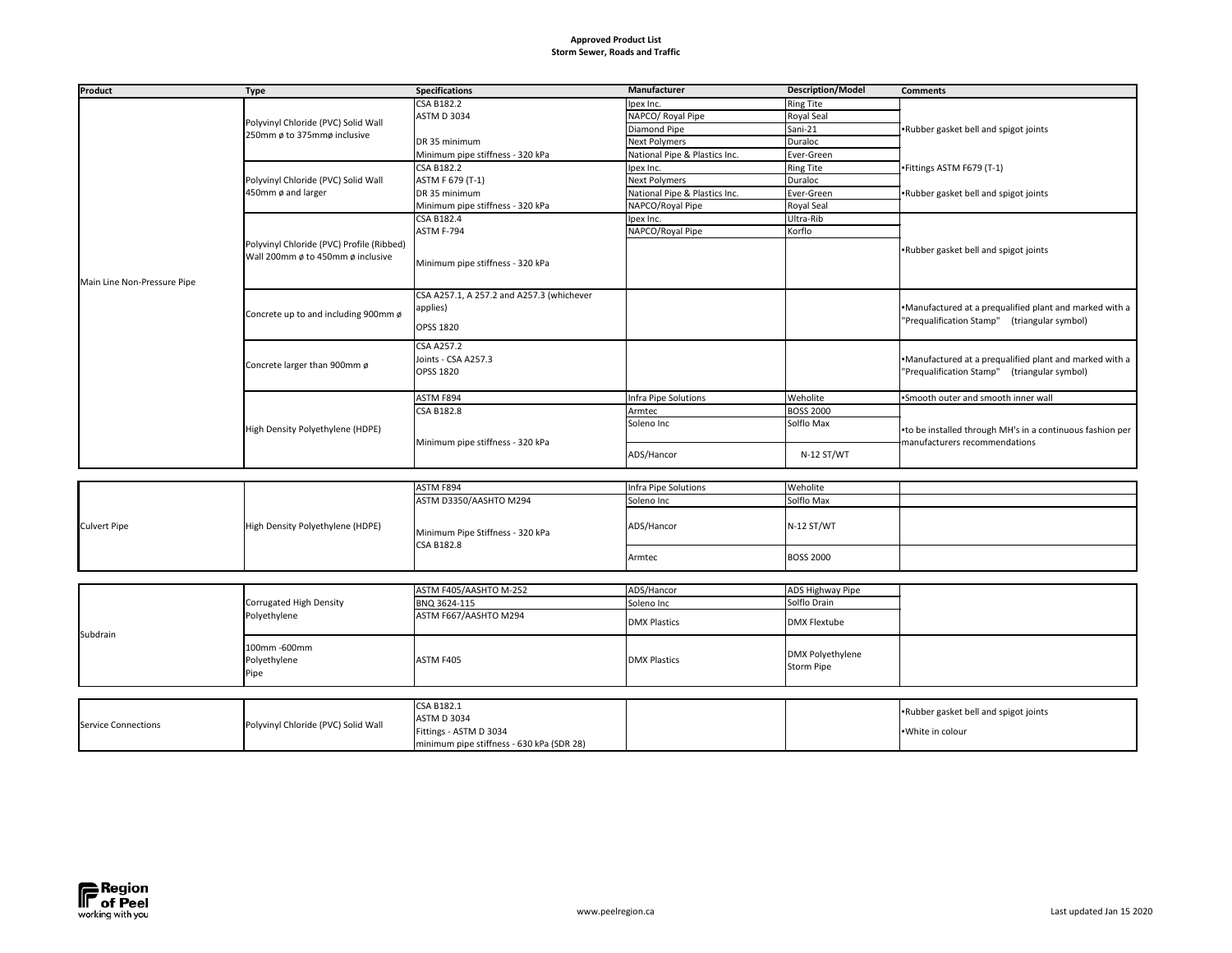## **Approved Product List Storm Sewer, Roads and Traffic**

minimum pipe stiffness - 630 kPa (SDR 28)



| <b>Product</b>              | <b>Type</b>                                               | <b>Specifications</b>                                 | Manufacturer                  | <b>Description/Model</b> | <b>Comments</b>                                           |
|-----------------------------|-----------------------------------------------------------|-------------------------------------------------------|-------------------------------|--------------------------|-----------------------------------------------------------|
|                             |                                                           | <b>CSA B182.2</b>                                     | Ipex Inc.                     | <b>Ring Tite</b>         |                                                           |
|                             | Polyvinyl Chloride (PVC) Solid Wall                       | <b>ASTM D 3034</b>                                    | NAPCO/ Royal Pipe             | <b>Royal Seal</b>        |                                                           |
|                             |                                                           |                                                       | Diamond Pipe                  | Sani-21                  | Rubber gasket bell and spigot joints                      |
|                             | 250mm ø to 375mmø inclusive                               | DR 35 minimum                                         | Next Polymers                 | Duraloc                  |                                                           |
|                             |                                                           | Minimum pipe stiffness - 320 kPa                      | National Pipe & Plastics Inc. | Ever-Green               |                                                           |
|                             |                                                           | <b>CSA B182.2</b>                                     | Ipex Inc.                     | <b>Ring Tite</b>         | Fittings ASTM F679 (T-1)                                  |
|                             | Polyvinyl Chloride (PVC) Solid Wall<br>450mm ø and larger | ASTM F 679 (T-1)                                      | Next Polymers                 | Duraloc                  |                                                           |
|                             |                                                           | DR 35 minimum                                         | National Pipe & Plastics Inc. | Ever-Green               | Rubber gasket bell and spigot joints                      |
|                             |                                                           | Minimum pipe stiffness - 320 kPa                      | NAPCO/Royal Pipe              | Royal Seal               |                                                           |
|                             |                                                           | <b>CSA B182.4</b>                                     | Ipex Inc.                     | Ultra-Rib                |                                                           |
|                             |                                                           | ASTM F-794                                            | NAPCO/Royal Pipe              | Korflo                   |                                                           |
|                             | Polyvinyl Chloride (PVC) Profile (Ribbed)                 |                                                       |                               |                          | Rubber gasket bell and spigot joints                      |
|                             | Wall 200mm ø to 450mm ø inclusive                         | Minimum pipe stiffness - 320 kPa                      |                               |                          |                                                           |
|                             |                                                           |                                                       |                               |                          |                                                           |
| Main Line Non-Pressure Pipe |                                                           |                                                       |                               |                          |                                                           |
|                             |                                                           | CSA A257.1, A 257.2 and A257.3 (whichever             |                               |                          |                                                           |
|                             | Concrete up to and including 900mm ø                      | applies)                                              |                               |                          | Manufactured at a prequalified plant and marked with a    |
|                             |                                                           | <b>OPSS 1820</b>                                      |                               |                          | "Prequalification Stamp" (triangular symbol)              |
|                             |                                                           |                                                       |                               |                          |                                                           |
|                             |                                                           | <b>CSA A257.2</b>                                     |                               |                          |                                                           |
|                             | Concrete larger than 900mm ø                              | Joints - CSA A257.3                                   |                               |                          | Manufactured at a prequalified plant and marked with a    |
|                             |                                                           | <b>OPSS 1820</b>                                      |                               |                          | "Prequalification Stamp" (triangular symbol)              |
|                             |                                                           |                                                       |                               |                          |                                                           |
|                             | High Density Polyethylene (HDPE)                          | ASTM F894                                             | Infra Pipe Solutions          | Weholite                 | Smooth outer and smooth inner wall                        |
|                             |                                                           | <b>CSA B182.8</b>                                     | Armtec                        | <b>BOSS 2000</b>         | -to be installed through MH's in a continuous fashion per |
|                             |                                                           |                                                       | Soleno Inc                    | Solflo Max               |                                                           |
|                             |                                                           | Minimum pipe stiffness - 320 kPa                      |                               |                          | manufacturers recommendations                             |
|                             |                                                           |                                                       | ADS/Hancor                    | N-12 ST/WT               |                                                           |
|                             |                                                           |                                                       |                               |                          |                                                           |
|                             |                                                           | ASTM F894                                             | Infra Pipe Solutions          | Weholite                 |                                                           |
|                             |                                                           |                                                       |                               | Solflo Max               |                                                           |
|                             |                                                           | ASTM D3350/AASHTO M294                                | Soleno Inc                    |                          |                                                           |
|                             | High Density Polyethylene (HDPE)                          | Minimum Pipe Stiffness - 320 kPa<br><b>CSA B182.8</b> | ADS/Hancor                    | N-12 ST/WT               |                                                           |
| <b>Culvert Pipe</b>         |                                                           |                                                       |                               |                          |                                                           |
|                             |                                                           |                                                       |                               |                          |                                                           |
|                             |                                                           |                                                       | Armtec                        | <b>BOSS 2000</b>         |                                                           |
|                             |                                                           |                                                       |                               |                          |                                                           |
|                             |                                                           | ASTM F405/AASHTO M-252                                | ADS/Hancor                    | <b>ADS Highway Pipe</b>  |                                                           |
|                             | Corrugated High Density                                   | BNQ 3624-115                                          | Soleno Inc                    | Solflo Drain             |                                                           |
|                             | Polyethylene                                              | ASTM F667/AASHTO M294                                 |                               |                          |                                                           |
|                             |                                                           |                                                       | <b>DMX Plastics</b>           | <b>DMX Flextube</b>      |                                                           |
| Subdrain                    |                                                           |                                                       |                               |                          |                                                           |
|                             | 100mm-600mm                                               |                                                       |                               | <b>DMX Polyethylene</b>  |                                                           |
|                             | Polyethylene                                              | ASTM F405                                             | <b>DMX Plastics</b>           | Storm Pipe               |                                                           |
|                             | Pipe                                                      |                                                       |                               |                          |                                                           |
|                             |                                                           |                                                       |                               |                          |                                                           |
|                             |                                                           | <b>CSA B182.1</b>                                     |                               |                          |                                                           |
|                             |                                                           | <b>ASTM D 3034</b>                                    |                               |                          | Rubber gasket bell and spigot joints                      |
| <b>Service Connections</b>  | Polyvinyl Chloride (PVC) Solid Wall                       | $Eit$ $\cdots$ $\cdots$ $\cdots$                      |                               |                          | $M/\hbar + \rho$ in colour                                |

| <b>Specifications</b>                     | Manufacturer                  | <b>Description/Model</b>       | <b>Comments</b>                                           |
|-------------------------------------------|-------------------------------|--------------------------------|-----------------------------------------------------------|
| <b>CSA B182.2</b>                         | Ipex Inc.                     | <b>Ring Tite</b>               |                                                           |
| <b>ASTM D 3034</b>                        | NAPCO/ Royal Pipe             | <b>Royal Seal</b>              |                                                           |
|                                           | Diamond Pipe                  | Sani-21                        | .Rubber gasket bell and spigot joints                     |
| DR 35 minimum                             | <b>Next Polymers</b>          | <b>Duraloc</b>                 |                                                           |
| Minimum pipe stiffness - 320 kPa          | National Pipe & Plastics Inc. | Ever-Green                     |                                                           |
| <b>CSA B182.2</b>                         | Ipex Inc.                     | <b>Ring Tite</b>               | -Fittings ASTM F679 (T-1)                                 |
| ASTM F 679 (T-1)                          | <b>Next Polymers</b>          | <b>Duraloc</b>                 |                                                           |
| DR 35 minimum                             | National Pipe & Plastics Inc. | Ever-Green                     | Rubber gasket bell and spigot joints                      |
| Minimum pipe stiffness - 320 kPa          | NAPCO/Royal Pipe              | Royal Seal                     |                                                           |
| <b>CSA B182.4</b>                         | Ipex Inc.                     | Ultra-Rib                      |                                                           |
| ASTM F-794                                | NAPCO/Royal Pipe              | Korflo                         |                                                           |
|                                           |                               |                                | -Rubber gasket bell and spigot joints                     |
| Minimum pipe stiffness - 320 kPa          |                               |                                |                                                           |
|                                           |                               |                                |                                                           |
|                                           |                               |                                |                                                           |
| CSA A257.1, A 257.2 and A257.3 (whichever |                               |                                |                                                           |
| applies)                                  |                               |                                | .Manufactured at a prequalified plant and marked with a   |
| <b>OPSS 1820</b>                          |                               |                                | 'Prequalification Stamp" (triangular symbol)              |
|                                           |                               |                                |                                                           |
| <b>CSA A257.2</b>                         |                               |                                |                                                           |
| Joints - CSA A257.3                       |                               |                                | .Manufactured at a prequalified plant and marked with a   |
| <b>OPSS 1820</b>                          |                               |                                | 'Prequalification Stamp" (triangular symbol)              |
|                                           |                               |                                |                                                           |
| ASTM F894                                 | Infra Pipe Solutions          | Weholite                       | .Smooth outer and smooth inner wall                       |
| <b>CSA B182.8</b>                         | Armtec<br>Soleno Inc          | <b>BOSS 2000</b><br>Solflo Max |                                                           |
|                                           |                               |                                | •to be installed through MH's in a continuous fashion per |
| Minimum pipe stiffness - 320 kPa          |                               |                                | manufacturers recommendations                             |
|                                           | ADS/Hancor                    | N-12 ST/WT                     |                                                           |
|                                           |                               |                                |                                                           |
| ASTM F894                                 | Infra Pipe Solutions          | Weholite                       |                                                           |
| ASTM D3350/AASHTO M294                    | Soleno Inc                    | Solflo Max                     |                                                           |
|                                           |                               |                                |                                                           |
|                                           | ADS/Hancor                    | N-12 ST/WT                     |                                                           |
| Minimum Pipe Stiffness - 320 kPa          |                               |                                |                                                           |
| <b>CSA B182.8</b>                         |                               | <b>BOSS 2000</b>               |                                                           |
|                                           | Armtec                        |                                |                                                           |
|                                           |                               |                                |                                                           |
| ASTM F405/AASHTO M-252                    | ADS/Hancor                    | <b>ADS Highway Pipe</b>        |                                                           |
| BNQ 3624-115                              | Soleno Inc                    | Solflo Drain                   |                                                           |
| ASTM F667/AASHTO M294                     | <b>DMX Plastics</b>           | <b>DMX Flextube</b>            |                                                           |
|                                           |                               |                                |                                                           |
|                                           |                               |                                |                                                           |
| ASTM F405                                 | <b>DMX Plastics</b>           | <b>DMX Polyethylene</b>        |                                                           |
|                                           |                               | <b>Storm Pipe</b>              |                                                           |
|                                           |                               |                                |                                                           |
|                                           |                               |                                |                                                           |
| <b>CSA B182.1</b><br>ASTM D 3034          |                               |                                | .Rubber gasket bell and spigot joints                     |
| Fittings - ASTM D 3034                    |                               |                                | -White in colour                                          |
|                                           |                               |                                |                                                           |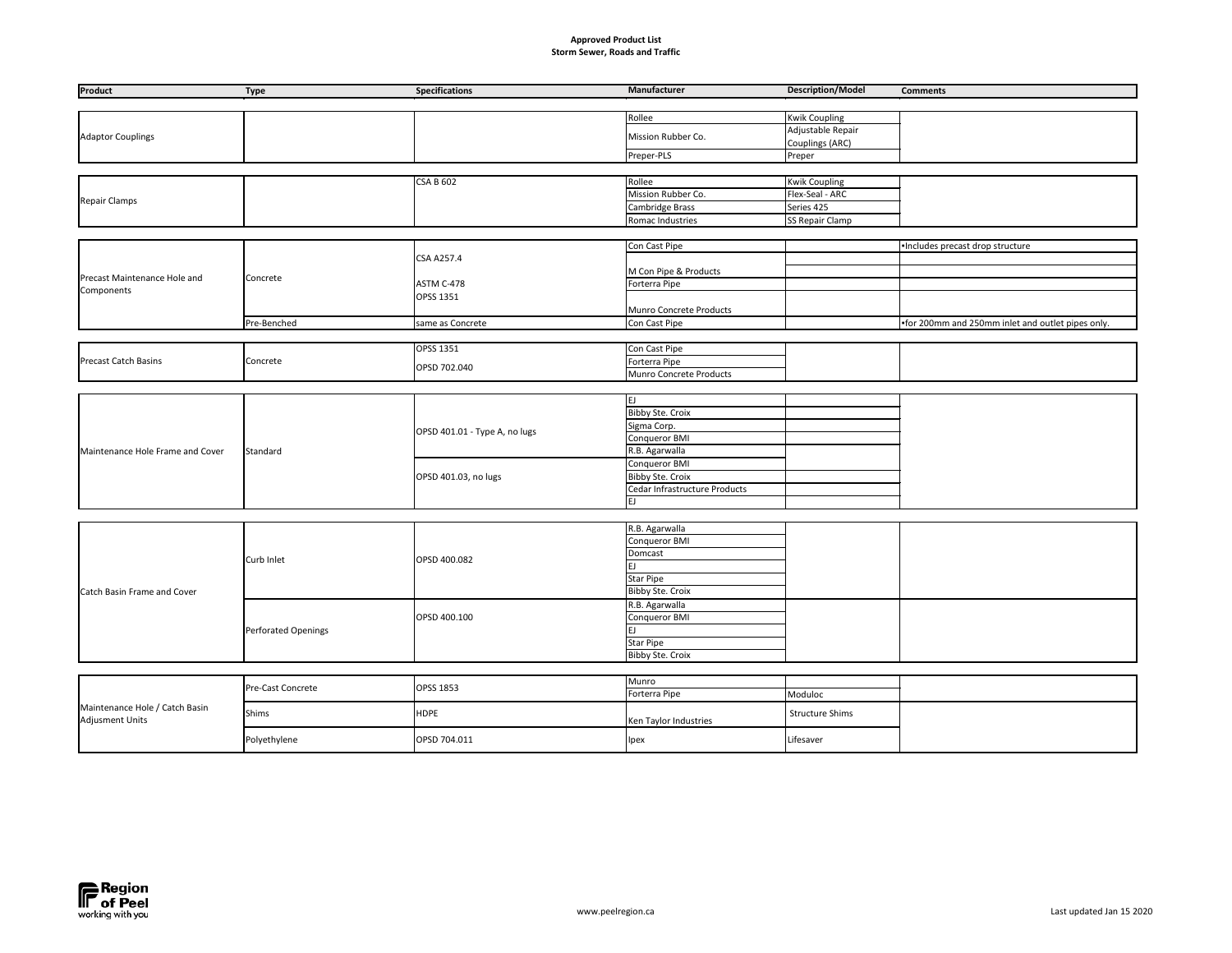## **Approved Product List Storm Sewer, Roads and Traffic**

| <b>Manufacturer</b>           | <b>Description/Model</b> | <b>Comments</b>                                   |
|-------------------------------|--------------------------|---------------------------------------------------|
|                               |                          |                                                   |
| Rollee                        | <b>Kwik Coupling</b>     |                                                   |
|                               | Adjustable Repair        |                                                   |
| Mission Rubber Co.            | <b>Couplings (ARC)</b>   |                                                   |
| Preper-PLS                    | Preper                   |                                                   |
|                               |                          |                                                   |
| Rollee                        | <b>Kwik Coupling</b>     |                                                   |
| Mission Rubber Co.            | Flex-Seal - ARC          |                                                   |
| Cambridge Brass               | Series 425               |                                                   |
| Romac Industries              | <b>SS Repair Clamp</b>   |                                                   |
|                               |                          |                                                   |
| Con Cast Pipe                 |                          | ·Includes precast drop structure                  |
|                               |                          |                                                   |
| M Con Pipe & Products         |                          |                                                   |
| Forterra Pipe                 |                          |                                                   |
|                               |                          |                                                   |
| Munro Concrete Products       |                          |                                                   |
| Con Cast Pipe                 |                          | -for 200mm and 250mm inlet and outlet pipes only. |
|                               |                          |                                                   |
| Con Cast Pipe                 |                          |                                                   |
| Forterra Pipe                 |                          |                                                   |
| Munro Concrete Products       |                          |                                                   |
|                               |                          |                                                   |
| EJ                            |                          |                                                   |
| <b>Bibby Ste. Croix</b>       |                          |                                                   |
| Sigma Corp.                   |                          |                                                   |
| Conqueror BMI                 |                          |                                                   |
| R.B. Agarwalla                |                          |                                                   |
| Conqueror BMI                 |                          |                                                   |
| <b>Bibby Ste. Croix</b>       |                          |                                                   |
| Cedar Infrastructure Products |                          |                                                   |
| EJ                            |                          |                                                   |
|                               |                          |                                                   |
| R.B. Agarwalla                |                          |                                                   |
| Conqueror BMI                 |                          |                                                   |
| Domcast                       |                          |                                                   |
| EJ                            |                          |                                                   |
| <b>Star Pipe</b>              |                          |                                                   |
| <b>Bibby Ste. Croix</b>       |                          |                                                   |
| R.B. Agarwalla                |                          |                                                   |
| Conqueror BMI                 |                          |                                                   |
| EJ.                           |                          |                                                   |
| <b>Star Pipe</b>              |                          |                                                   |
| <b>Bibby Ste. Croix</b>       |                          |                                                   |
|                               |                          |                                                   |
| Munro                         |                          |                                                   |
| Forterra Pipe                 | Moduloc                  |                                                   |
| Ken Taylor Industries         | <b>Structure Shims</b>   |                                                   |
| Ipex                          | Lifesaver                |                                                   |
|                               |                          |                                                   |

| Product                          | <b>Type</b>         | <b>Specifications</b>         | Manufacturer                   | <b>Description/Model</b> | <b>Comments</b>                                   |
|----------------------------------|---------------------|-------------------------------|--------------------------------|--------------------------|---------------------------------------------------|
|                                  |                     |                               |                                |                          |                                                   |
|                                  |                     |                               | Rollee                         | <b>Kwik Coupling</b>     |                                                   |
| <b>Adaptor Couplings</b>         |                     |                               | Mission Rubber Co.             | Adjustable Repair        |                                                   |
|                                  |                     |                               |                                | Couplings (ARC)          |                                                   |
|                                  |                     |                               | Preper-PLS                     | Preper                   |                                                   |
|                                  |                     |                               |                                |                          |                                                   |
|                                  |                     | <b>CSA B 602</b>              | Rollee                         | <b>Kwik Coupling</b>     |                                                   |
| <b>Repair Clamps</b>             |                     |                               | Mission Rubber Co.             | Flex-Seal - ARC          |                                                   |
|                                  |                     |                               | Cambridge Brass                | Series 425               |                                                   |
|                                  |                     |                               | Romac Industries               | <b>SS Repair Clamp</b>   |                                                   |
|                                  |                     |                               |                                |                          |                                                   |
|                                  |                     |                               | Con Cast Pipe                  |                          | ·Includes precast drop structure                  |
|                                  |                     | <b>CSA A257.4</b>             |                                |                          |                                                   |
| Precast Maintenance Hole and     | Concrete            |                               | M Con Pipe & Products          |                          |                                                   |
| Components                       |                     | ASTM C-478                    | Forterra Pipe                  |                          |                                                   |
|                                  |                     | <b>OPSS 1351</b>              |                                |                          |                                                   |
|                                  |                     |                               | Munro Concrete Products        |                          |                                                   |
|                                  | Pre-Benched         | same as Concrete              | Con Cast Pipe                  |                          | .for 200mm and 250mm inlet and outlet pipes only. |
|                                  |                     | <b>OPSS 1351</b>              |                                |                          |                                                   |
| <b>Precast Catch Basins</b>      | Concrete            |                               | Con Cast Pipe<br>Forterra Pipe |                          |                                                   |
|                                  |                     | OPSD 702.040                  | Munro Concrete Products        |                          |                                                   |
|                                  |                     |                               |                                |                          |                                                   |
|                                  |                     |                               | EJ                             |                          |                                                   |
|                                  | Standard            |                               | Bibby Ste. Croix               |                          |                                                   |
|                                  |                     |                               | Sigma Corp.                    |                          |                                                   |
|                                  |                     | OPSD 401.01 - Type A, no lugs | <b>Conqueror BMI</b>           |                          |                                                   |
| Maintenance Hole Frame and Cover |                     |                               | R.B. Agarwalla                 |                          |                                                   |
|                                  |                     |                               | Conqueror BMI                  |                          |                                                   |
|                                  |                     | OPSD 401.03, no lugs          | <b>Bibby Ste. Croix</b>        |                          |                                                   |
|                                  |                     |                               | Cedar Infrastructure Products  |                          |                                                   |
|                                  |                     |                               | EJ                             |                          |                                                   |
|                                  |                     |                               |                                |                          |                                                   |
|                                  | Curb Inlet          |                               | R.B. Agarwalla                 |                          |                                                   |
|                                  |                     |                               | Conqueror BMI                  |                          |                                                   |
|                                  |                     | OPSD 400.082                  | Domcast                        |                          |                                                   |
|                                  |                     |                               | lEJ.                           |                          |                                                   |
|                                  |                     |                               | <b>Star Pipe</b>               |                          |                                                   |
| Catch Basin Frame and Cover      |                     |                               | <b>Bibby Ste. Croix</b>        |                          |                                                   |
|                                  |                     |                               | R.B. Agarwalla                 |                          |                                                   |
|                                  |                     | OPSD 400.100                  | Conqueror BMI                  |                          |                                                   |
|                                  | Perforated Openings |                               | EJ                             |                          |                                                   |
|                                  |                     |                               | <b>Star Pipe</b>               |                          |                                                   |
|                                  |                     |                               | <b>Bibby Ste. Croix</b>        |                          |                                                   |
|                                  |                     |                               |                                |                          |                                                   |
|                                  | Pre-Cast Concrete   | OPSS 1853                     | Munro                          |                          |                                                   |
|                                  |                     |                               | Forterra Pipe                  | Moduloc                  |                                                   |

|                                                          | <b>Pre-Cast Concrete</b> | <b>OPSS 1853</b> | <b>HVIUHIO</b><br>Forterra Pipe | Moduloc   |
|----------------------------------------------------------|--------------------------|------------------|---------------------------------|-----------|
| Maintenance Hole / Catch Basin<br><b>Adjusment Units</b> | <b>Shims</b>             | <b>HDPE</b>      | Ken Taylor Industries           | Structur  |
|                                                          | Polyethylene             | OPSD 704.011     | Ipex                            | Lifesaver |